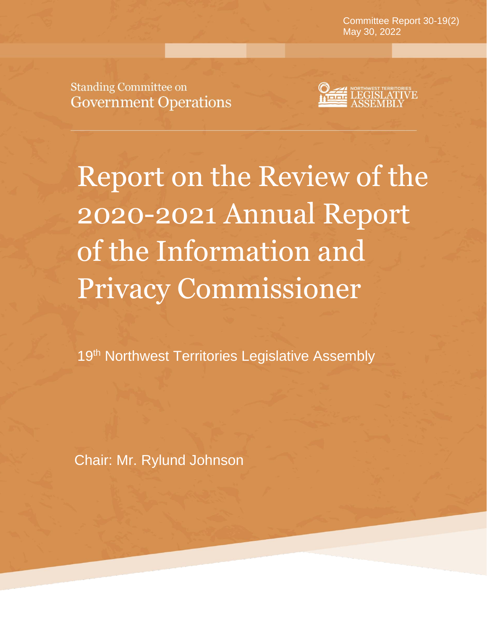**Mayt 37-18(3)** May 30, 2022Committee Report 30-19(2)

**August 22, 2019**

**Standing Committee on Government Operations** 



Report on the Review of the 2020-2021 Annual Report of the Information and Privacy Commissioner

19<sup>th</sup> Northwest Territories Legislative Assembly

Chair: Mr. Rylund Johnson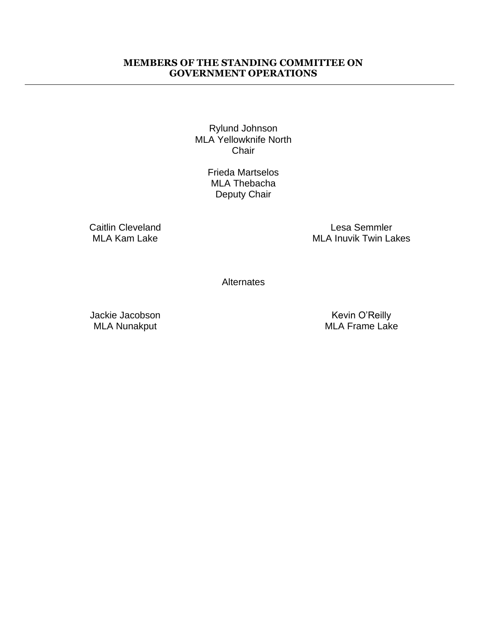#### **MEMBERS OF THE STANDING COMMITTEE ON GOVERNMENT OPERATIONS**

Rylund Johnson MLA Yellowknife North **Chair** 

> Frieda Martselos MLA Thebacha Deputy Chair

Caitlin Cleveland MLA Kam Lake

Lesa Semmler MLA Inuvik Twin Lakes

**Alternates** 

Jackie Jacobson MLA Nunakput

Kevin O'Reilly MLA Frame Lake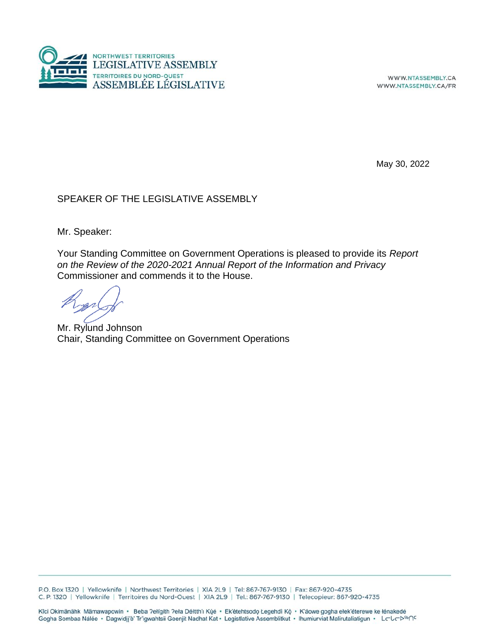

WWW.NTASSEMBLY.CA WWW.NTASSEMBLY.CA/FR

May 30, 2022

#### SPEAKER OF THE LEGISLATIVE ASSEMBLY

Mr. Speaker:

Your Standing Committee on Government Operations is pleased to provide its *Report on the Review of the 2020-2021 Annual Report of the Information and Privacy*  Commissioner and commends it to the House.

Mr. Rylund Johnson Chair, Standing Committee on Government Operations

P.O. Box 1320 | Yellowknife | Northwest Territories | XIA 2L9 | Tel: 867-767-9130 | Fax: 867-920-4735 C. P. 1320 | Yellowknife | Territoires du Nord-Ouest | XIA 2L9 | Tel.: 867-767-9130 | Telecopieur: 867-920-4735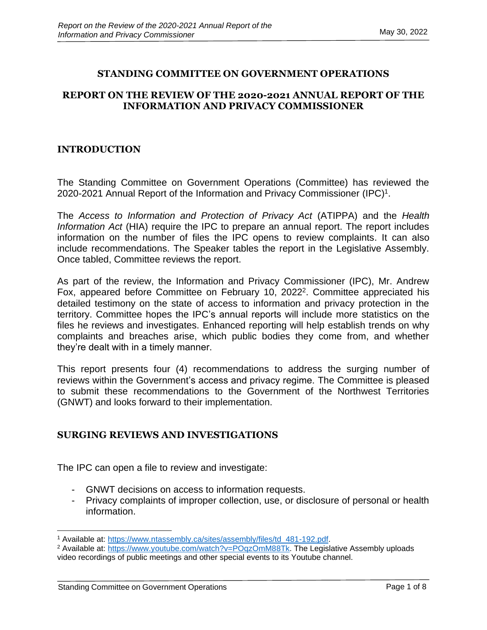## **STANDING COMMITTEE ON GOVERNMENT OPERATIONS**

## **REPORT ON THE REVIEW OF THE 2020-2021 ANNUAL REPORT OF THE INFORMATION AND PRIVACY COMMISSIONER**

## **INTRODUCTION**

The Standing Committee on Government Operations (Committee) has reviewed the 2020-2021 Annual Report of the Information and Privacy Commissioner (IPC)<sup>1</sup>.

The *Access to Information and Protection of Privacy Act* (ATIPPA) and the *Health Information Act* (HIA) require the IPC to prepare an annual report. The report includes information on the number of files the IPC opens to review complaints. It can also include recommendations. The Speaker tables the report in the Legislative Assembly. Once tabled, Committee reviews the report.

As part of the review, the Information and Privacy Commissioner (IPC), Mr. Andrew Fox, appeared before Committee on February 10, 2022<sup>2</sup>. Committee appreciated his detailed testimony on the state of access to information and privacy protection in the territory. Committee hopes the IPC's annual reports will include more statistics on the files he reviews and investigates. Enhanced reporting will help establish trends on why complaints and breaches arise, which public bodies they come from, and whether they're dealt with in a timely manner.

This report presents four (4) recommendations to address the surging number of reviews within the Government's access and privacy regime. The Committee is pleased to submit these recommendations to the Government of the Northwest Territories (GNWT) and looks forward to their implementation.

#### **SURGING REVIEWS AND INVESTIGATIONS**

The IPC can open a file to review and investigate:

- GNWT decisions on access to information requests.
- Privacy complaints of improper collection, use, or disclosure of personal or health information.

<sup>1</sup> Available at: [https://www.ntassembly.ca/sites/assembly/files/td\\_481-192.pdf.](https://www.ntassembly.ca/sites/assembly/files/td_481-192.pdf)

<sup>&</sup>lt;sup>2</sup> Available at: [https://www.youtube.com/watch?v=POqzOmM88Tk.](https://www.youtube.com/watch?v=POqzOmM88Tk) The Legislative Assembly uploads video recordings of public meetings and other special events to its Youtube channel.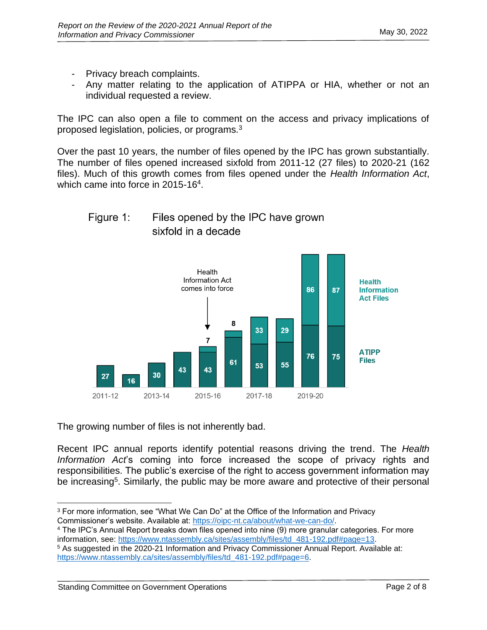- Privacy breach complaints.
- Any matter relating to the application of ATIPPA or HIA, whether or not an individual requested a review.

The IPC can also open a file to comment on the access and privacy implications of proposed legislation, policies, or programs.<sup>3</sup>

Over the past 10 years, the number of files opened by the IPC has grown substantially. The number of files opened increased sixfold from 2011-12 (27 files) to 2020-21 (162 files). Much of this growth comes from files opened under the *Health Information Act*, which came into force in 2015-16<sup>4</sup>.

#### Figure 1: Files opened by the IPC have grown sixfold in a decade



The growing number of files is not inherently bad.

Recent IPC annual reports identify potential reasons driving the trend. The *Health Information Act*'s coming into force increased the scope of privacy rights and responsibilities. The public's exercise of the right to access government information may be increasing<sup>5</sup>. Similarly, the public may be more aware and protective of their personal

<sup>&</sup>lt;sup>3</sup> For more information, see "What We Can Do" at the Office of the Information and Privacy Commissioner's website. Available at: [https://oipc-nt.ca/about/what-we-can-do/.](https://oipc-nt.ca/about/what-we-can-do/)

<sup>4</sup> The IPC's Annual Report breaks down files opened into nine (9) more granular categories. For more information, see: [https://www.ntassembly.ca/sites/assembly/files/td\\_481-192.pdf#page=13.](https://www.ntassembly.ca/sites/assembly/files/td_481-192.pdf#page=13)

<sup>5</sup> As suggested in the 2020-21 Information and Privacy Commissioner Annual Report. Available at: [https://www.ntassembly.ca/sites/assembly/files/td\\_481-192.pdf#page=6.](https://www.ntassembly.ca/sites/assembly/files/td_481-192.pdf#page=6)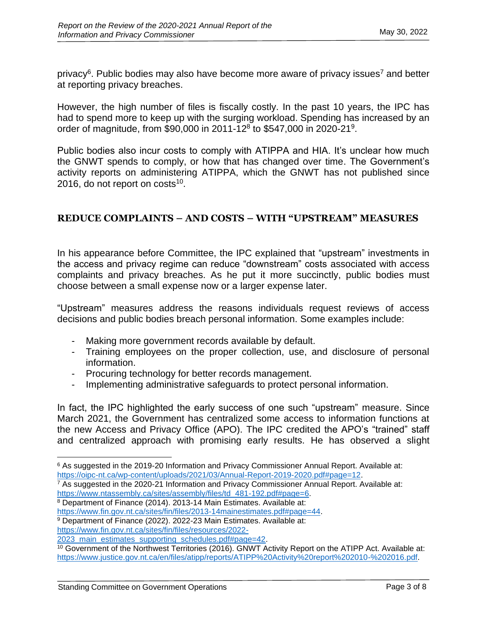privacy<sup>6</sup>. Public bodies may also have become more aware of privacy issues<sup>7</sup> and better at reporting privacy breaches.

However, the high number of files is fiscally costly. In the past 10 years, the IPC has had to spend more to keep up with the surging workload. Spending has increased by an order of magnitude, from \$90,000 in 2011-12<sup>8</sup> to \$547,000 in 2020-21<sup>9</sup>.

Public bodies also incur costs to comply with ATIPPA and HIA. It's unclear how much the GNWT spends to comply, or how that has changed over time. The Government's activity reports on administering ATIPPA, which the GNWT has not published since 2016, do not report on  $costs^{10}$ .

# **REDUCE COMPLAINTS – AND COSTS – WITH "UPSTREAM" MEASURES**

In his appearance before Committee, the IPC explained that "upstream" investments in the access and privacy regime can reduce "downstream" costs associated with access complaints and privacy breaches. As he put it more succinctly, public bodies must choose between a small expense now or a larger expense later.

"Upstream" measures address the reasons individuals request reviews of access decisions and public bodies breach personal information. Some examples include:

- Making more government records available by default.
- Training employees on the proper collection, use, and disclosure of personal information.
- Procuring technology for better records management.
- Implementing administrative safeguards to protect personal information.

In fact, the IPC highlighted the early success of one such "upstream" measure. Since March 2021, the Government has centralized some access to information functions at the new Access and Privacy Office (APO). The IPC credited the APO's "trained" staff and centralized approach with promising early results. He has observed a slight

[https://www.fin.gov.nt.ca/sites/fin/files/2013-14mainestimates.pdf#page=44.](https://www.fin.gov.nt.ca/sites/fin/files/2013-14mainestimates.pdf#page=44)

[https://www.fin.gov.nt.ca/sites/fin/files/resources/2022-](https://www.fin.gov.nt.ca/sites/fin/files/resources/2022-2023_main_estimates_supporting_schedules.pdf#page=42)

<sup>&</sup>lt;sup>6</sup> As suggested in the 2019-20 Information and Privacy Commissioner Annual Report. Available at: [https://oipc-nt.ca/wp-content/uploads/2021/03/Annual-Report-2019-2020.pdf#page=12.](https://oipc-nt.ca/wp-content/uploads/2021/03/Annual-Report-2019-2020.pdf#page=12)

<sup>7</sup> As suggested in the 2020-21 Information and Privacy Commissioner Annual Report. Available at: [https://www.ntassembly.ca/sites/assembly/files/td\\_481-192.pdf#page=6.](https://www.ntassembly.ca/sites/assembly/files/td_481-192.pdf#page=6)

<sup>8</sup> Department of Finance (2014). 2013-14 Main Estimates. Available at:

<sup>&</sup>lt;sup>9</sup> Department of Finance (2022). 2022-23 Main Estimates. Available at:

<sup>2023</sup> main estimates supporting schedules.pdf#page=42.

<sup>10</sup> Government of the Northwest Territories (2016). GNWT Activity Report on the ATIPP Act. Available at: [https://www.justice.gov.nt.ca/en/files/atipp/reports/ATIPP%20Activity%20report%202010-%202016.pdf.](https://www.justice.gov.nt.ca/en/files/atipp/reports/ATIPP%20Activity%20report%202010-%202016.pdf)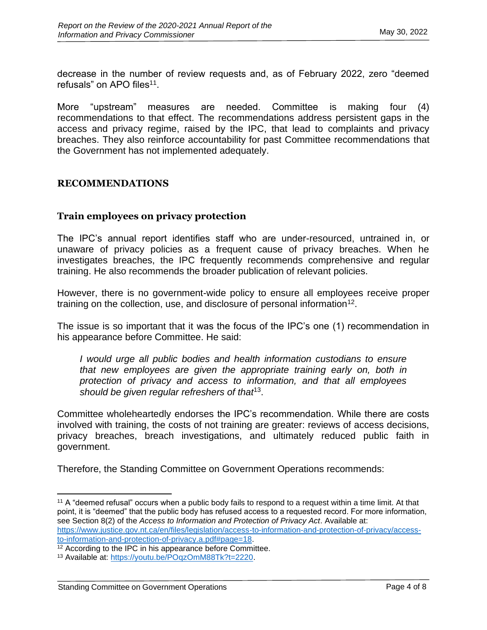decrease in the number of review requests and, as of February 2022, zero "deemed refusals" on APO files<sup>11</sup>.

More "upstream" measures are needed. Committee is making four (4) recommendations to that effect. The recommendations address persistent gaps in the access and privacy regime, raised by the IPC, that lead to complaints and privacy breaches. They also reinforce accountability for past Committee recommendations that the Government has not implemented adequately.

## **RECOMMENDATIONS**

## **Train employees on privacy protection**

The IPC's annual report identifies staff who are under-resourced, untrained in, or unaware of privacy policies as a frequent cause of privacy breaches. When he investigates breaches, the IPC frequently recommends comprehensive and regular training. He also recommends the broader publication of relevant policies.

However, there is no government-wide policy to ensure all employees receive proper training on the collection, use, and disclosure of personal information<sup>12</sup>.

The issue is so important that it was the focus of the IPC's one (1) recommendation in his appearance before Committee. He said:

*I would urge all public bodies and health information custodians to ensure that new employees are given the appropriate training early on, both in protection of privacy and access to information, and that all employees should be given regular refreshers of that*<sup>13</sup> .

Committee wholeheartedly endorses the IPC's recommendation. While there are costs involved with training, the costs of not training are greater: reviews of access decisions, privacy breaches, breach investigations, and ultimately reduced public faith in government.

Therefore, the Standing Committee on Government Operations recommends:

<sup>&</sup>lt;sup>11</sup> A "deemed refusal" occurs when a public body fails to respond to a request within a time limit. At that point, it is "deemed" that the public body has refused access to a requested record. For more information, see Section 8(2) of the *Access to Information and Protection of Privacy Act*. Available at: [https://www.justice.gov.nt.ca/en/files/legislation/access-to-information-and-protection-of-privacy/access](https://www.justice.gov.nt.ca/en/files/legislation/access-to-information-and-protection-of-privacy/access-to-information-and-protection-of-privacy.a.pdf#page=18)[to-information-and-protection-of-privacy.a.pdf#page=18.](https://www.justice.gov.nt.ca/en/files/legislation/access-to-information-and-protection-of-privacy/access-to-information-and-protection-of-privacy.a.pdf#page=18)

<sup>&</sup>lt;sup>12</sup> According to the IPC in his appearance before Committee.

<sup>13</sup> Available at: [https://youtu.be/POqzOmM88Tk?t=2220.](https://youtu.be/POqzOmM88Tk?t=2220)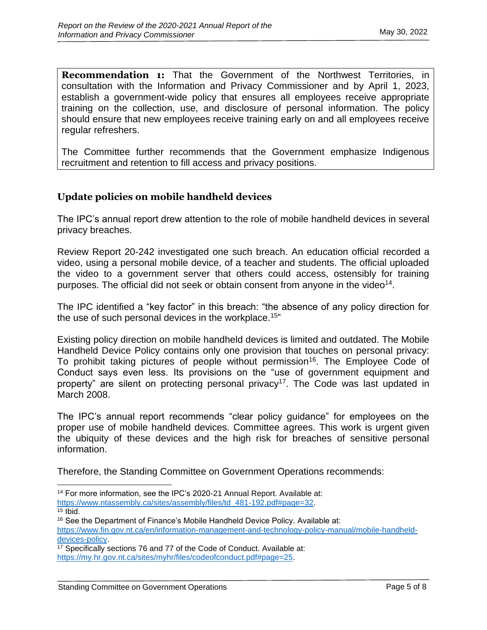**Recommendation 1:** That the Government of the Northwest Territories, in consultation with the Information and Privacy Commissioner and by April 1, 2023, establish a government-wide policy that ensures all employees receive appropriate training on the collection, use, and disclosure of personal information. The policy should ensure that new employees receive training early on and all employees receive regular refreshers.

The Committee further recommends that the Government emphasize Indigenous recruitment and retention to fill access and privacy positions.

# **Update policies on mobile handheld devices**

The IPC's annual report drew attention to the role of mobile handheld devices in several privacy breaches.

Review Report 20-242 investigated one such breach. An education official recorded a video, using a personal mobile device, of a teacher and students. The official uploaded the video to a government server that others could access, ostensibly for training purposes. The official did not seek or obtain consent from anyone in the video<sup>14</sup>.

The IPC identified a "key factor" in this breach: "the absence of any policy direction for the use of such personal devices in the workplace.<sup>15</sup>"

Existing policy direction on mobile handheld devices is limited and outdated. The Mobile Handheld Device Policy contains only one provision that touches on personal privacy: To prohibit taking pictures of people without permission<sup>16</sup>. The Employee Code of Conduct says even less. Its provisions on the "use of government equipment and property" are silent on protecting personal privacy<sup>17</sup>. The Code was last updated in March 2008.

The IPC's annual report recommends "clear policy guidance" for employees on the proper use of mobile handheld devices. Committee agrees. This work is urgent given the ubiquity of these devices and the high risk for breaches of sensitive personal information.

Therefore, the Standing Committee on Government Operations recommends:

<sup>14</sup> For more information, see the IPC's 2020-21 Annual Report. Available at: [https://www.ntassembly.ca/sites/assembly/files/td\\_481-192.pdf#page=32.](https://www.ntassembly.ca/sites/assembly/files/td_481-192.pdf#page=32)

 $15$  Ibid.

<sup>&</sup>lt;sup>16</sup> See the Department of Finance's Mobile Handheld Device Policy. Available at: [https://www.fin.gov.nt.ca/en/information-management-and-technology-policy-manual/mobile-handheld](https://www.fin.gov.nt.ca/en/information-management-and-technology-policy-manual/mobile-handheld-devices-policy)[devices-policy.](https://www.fin.gov.nt.ca/en/information-management-and-technology-policy-manual/mobile-handheld-devices-policy)

<sup>17</sup> Specifically sections 76 and 77 of the Code of Conduct. Available at: [https://my.hr.gov.nt.ca/sites/myhr/files/codeofconduct.pdf#page=25.](https://my.hr.gov.nt.ca/sites/myhr/files/codeofconduct.pdf#page=25)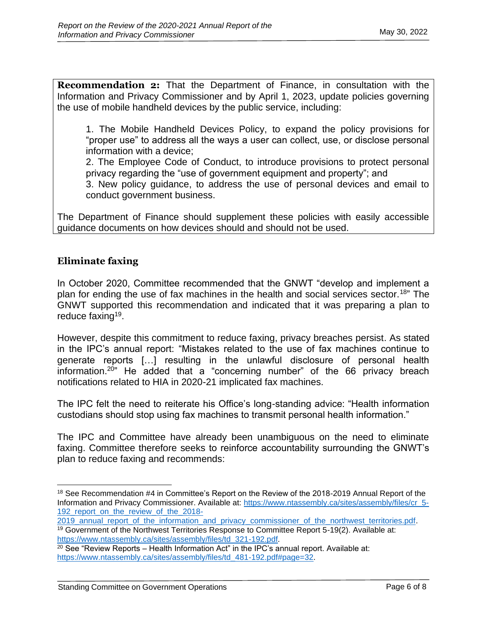**Recommendation 2:** That the Department of Finance, in consultation with the Information and Privacy Commissioner and by April 1, 2023, update policies governing the use of mobile handheld devices by the public service, including:

1. The Mobile Handheld Devices Policy, to expand the policy provisions for "proper use" to address all the ways a user can collect, use, or disclose personal information with a device;

2. The Employee Code of Conduct, to introduce provisions to protect personal privacy regarding the "use of government equipment and property"; and

3. New policy guidance, to address the use of personal devices and email to conduct government business.

The Department of Finance should supplement these policies with easily accessible guidance documents on how devices should and should not be used.

# **Eliminate faxing**

In October 2020, Committee recommended that the GNWT "develop and implement a plan for ending the use of fax machines in the health and social services sector.<sup>18</sup>" The GNWT supported this recommendation and indicated that it was preparing a plan to reduce faxing<sup>19</sup>.

However, despite this commitment to reduce faxing, privacy breaches persist. As stated in the IPC's annual report: "Mistakes related to the use of fax machines continue to generate reports […] resulting in the unlawful disclosure of personal health information.<sup>20"</sup> He added that a "concerning number" of the 66 privacy breach notifications related to HIA in 2020-21 implicated fax machines.

The IPC felt the need to reiterate his Office's long-standing advice: "Health information custodians should stop using fax machines to transmit personal health information."

The IPC and Committee have already been unambiguous on the need to eliminate faxing. Committee therefore seeks to reinforce accountability surrounding the GNWT's plan to reduce faxing and recommends:

<sup>&</sup>lt;sup>18</sup> See Recommendation #4 in Committee's Report on the Review of the 2018-2019 Annual Report of the Information and Privacy Commissioner. Available at: [https://www.ntassembly.ca/sites/assembly/files/cr\\_5-](https://www.ntassembly.ca/sites/assembly/files/cr_5-192_report_on_the_review_of_the_2018-2019_annual_report_of_the_information_and_privacy_commissioner_of_the_northwest_territories.pdf) [192\\_report\\_on\\_the\\_review\\_of\\_the\\_2018-](https://www.ntassembly.ca/sites/assembly/files/cr_5-192_report_on_the_review_of_the_2018-2019_annual_report_of_the_information_and_privacy_commissioner_of_the_northwest_territories.pdf)

[<sup>2019</sup>\\_annual\\_report\\_of\\_the\\_information\\_and\\_privacy\\_commissioner\\_of\\_the\\_northwest\\_territories.pdf.](https://www.ntassembly.ca/sites/assembly/files/cr_5-192_report_on_the_review_of_the_2018-2019_annual_report_of_the_information_and_privacy_commissioner_of_the_northwest_territories.pdf) <sup>19</sup> Government of the Northwest Territories Response to Committee Report 5-19(2). Available at: [https://www.ntassembly.ca/sites/assembly/files/td\\_321-192.pdf.](https://www.ntassembly.ca/sites/assembly/files/td_321-192.pdf)

 $20$  See "Review Reports – Health Information Act" in the IPC's annual report. Available at: [https://www.ntassembly.ca/sites/assembly/files/td\\_481-192.pdf#page=32.](https://www.ntassembly.ca/sites/assembly/files/td_481-192.pdf#page=32)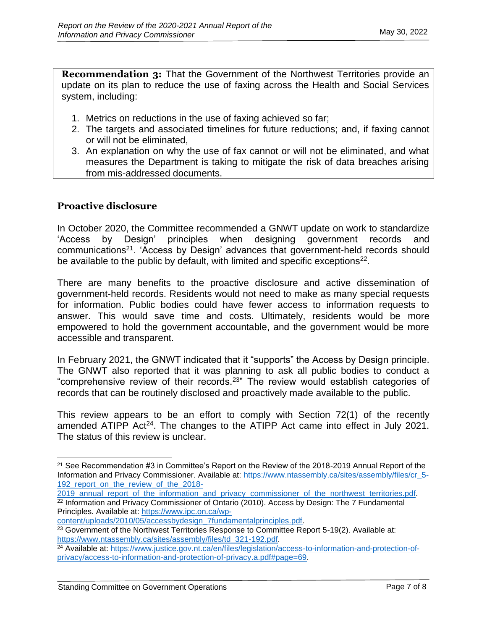**Recommendation 3:** That the Government of the Northwest Territories provide an update on its plan to reduce the use of faxing across the Health and Social Services system, including:

- 1. Metrics on reductions in the use of faxing achieved so far;
- 2. The targets and associated timelines for future reductions; and, if faxing cannot or will not be eliminated,
- 3. An explanation on why the use of fax cannot or will not be eliminated, and what measures the Department is taking to mitigate the risk of data breaches arising from mis-addressed documents.

## **Proactive disclosure**

In October 2020, the Committee recommended a GNWT update on work to standardize 'Access by Design' principles when designing government records and communications<sup>21</sup>. 'Access by Design' advances that government-held records should be available to the public by default, with limited and specific exceptions<sup>22</sup>.

There are many benefits to the proactive disclosure and active dissemination of government-held records. Residents would not need to make as many special requests for information. Public bodies could have fewer access to information requests to answer. This would save time and costs. Ultimately, residents would be more empowered to hold the government accountable, and the government would be more accessible and transparent.

In February 2021, the GNWT indicated that it "supports" the Access by Design principle. The GNWT also reported that it was planning to ask all public bodies to conduct a "comprehensive review of their records.<sup>23</sup>" The review would establish categories of records that can be routinely disclosed and proactively made available to the public.

This review appears to be an effort to comply with Section 72(1) of the recently amended ATIPP Act<sup>24</sup>. The changes to the ATIPP Act came into effect in July 2021. The status of this review is unclear.

<sup>21</sup> See Recommendation #3 in Committee's Report on the Review of the 2018-2019 Annual Report of the Information and Privacy Commissioner. Available at: [https://www.ntassembly.ca/sites/assembly/files/cr\\_5-](https://www.ntassembly.ca/sites/assembly/files/cr_5-192_report_on_the_review_of_the_2018-2019_annual_report_of_the_information_and_privacy_commissioner_of_the_northwest_territories.pdf) 192 report on the review of the 2018-

[<sup>2019</sup>\\_annual\\_report\\_of\\_the\\_information\\_and\\_privacy\\_commissioner\\_of\\_the\\_northwest\\_territories.pdf.](https://www.ntassembly.ca/sites/assembly/files/cr_5-192_report_on_the_review_of_the_2018-2019_annual_report_of_the_information_and_privacy_commissioner_of_the_northwest_territories.pdf) <sup>22</sup> Information and Privacy Commissioner of Ontario (2010). Access by Design: The 7 Fundamental Principles. Available at: [https://www.ipc.on.ca/wp-](https://www.ipc.on.ca/wp-content/uploads/2010/05/accessbydesign_7fundamentalprinciples.pdf)

[content/uploads/2010/05/accessbydesign\\_7fundamentalprinciples.pdf.](https://www.ipc.on.ca/wp-content/uploads/2010/05/accessbydesign_7fundamentalprinciples.pdf)

<sup>&</sup>lt;sup>23</sup> Government of the Northwest Territories Response to Committee Report 5-19(2). Available at: [https://www.ntassembly.ca/sites/assembly/files/td\\_321-192.pdf.](https://www.ntassembly.ca/sites/assembly/files/td_321-192.pdf)

<sup>24</sup> Available at: [https://www.justice.gov.nt.ca/en/files/legislation/access-to-information-and-protection-of](https://www.justice.gov.nt.ca/en/files/legislation/access-to-information-and-protection-of-privacy/access-to-information-and-protection-of-privacy.a.pdf#page=69)[privacy/access-to-information-and-protection-of-privacy.a.pdf#page=69.](https://www.justice.gov.nt.ca/en/files/legislation/access-to-information-and-protection-of-privacy/access-to-information-and-protection-of-privacy.a.pdf#page=69)